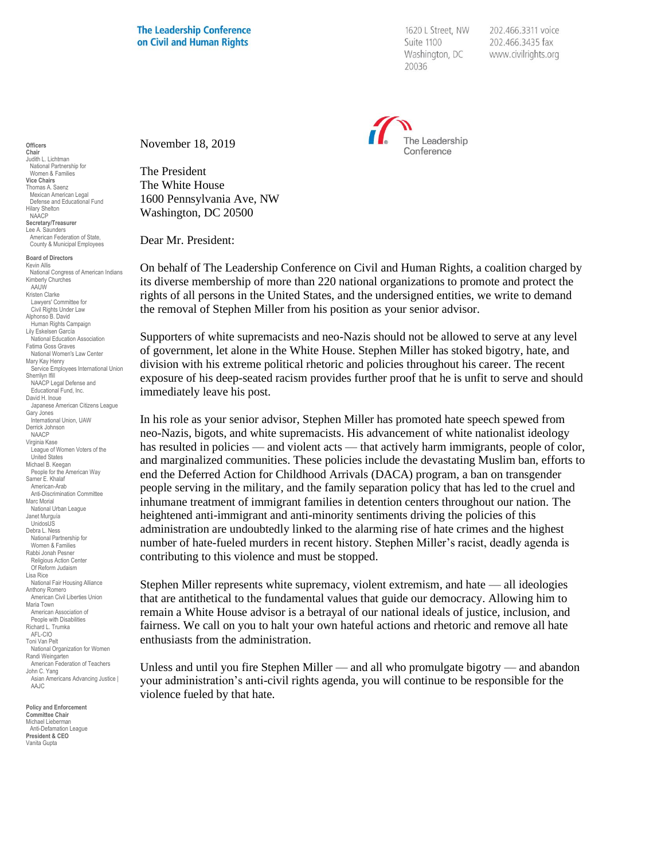**The Leadership Conference** on Civil and Human Rights

1620 L Street, NW Suite 1100 Washington, DC 20036

202.466.3311 voice 202.466.3435 fax www.civilrights.org



November 18, 2019

The President The White House 1600 Pennsylvania Ave, NW Washington, DC 20500

Dear Mr. President:

On behalf of The Leadership Conference on Civil and Human Rights, a coalition charged by its diverse membership of more than 220 national organizations to promote and protect the rights of all persons in the United States, and the undersigned entities, we write to demand the removal of Stephen Miller from his position as your senior advisor.

Supporters of white supremacists and neo-Nazis should not be allowed to serve at any level of government, let alone in the White House. Stephen Miller has stoked bigotry, hate, and division with his extreme political rhetoric and policies throughout his career. The recent exposure of his deep-seated racism provides further proof that he is unfit to serve and should immediately leave his post.

In his role as your senior advisor, Stephen Miller has promoted hate speech spewed from neo-Nazis, bigots, and white supremacists. His advancement of white nationalist ideology has resulted in policies — and violent acts — that actively harm immigrants, people of color, and marginalized communities. These policies include the devastating Muslim ban, efforts to end the Deferred Action for Childhood Arrivals (DACA) program, a ban on transgender people serving in the military, and the family separation policy that has led to the cruel and inhumane treatment of immigrant families in detention centers throughout our nation. The heightened anti-immigrant and anti-minority sentiments driving the policies of this administration are undoubtedly linked to the alarming rise of hate crimes and the highest number of hate-fueled murders in recent history. Stephen Miller's racist, deadly agenda is contributing to this violence and must be stopped.

Stephen Miller represents white supremacy, violent extremism, and hate — all ideologies that are antithetical to the fundamental values that guide our democracy. Allowing him to remain a White House advisor is a betrayal of our national ideals of justice, inclusion, and fairness. We call on you to halt your own hateful actions and rhetoric and remove all hate enthusiasts from the administration.

Unless and until you fire Stephen Miller — and all who promulgate bigotry — and abandon your administration's anti-civil rights agenda, you will continue to be responsible for the violence fueled by that hate.

**Officers Chair** Judith L. Lichtman National Partnership for Women & Families **Vice Chairs** Thomas A. Saenz Mexican American Legal Defense and Educational Fund Hilary Shelton NAACP **Secretary/Treasurer** Lee A. Saunders American Federation of State, County & Municipal Employees

**Board of Directors** Kevin Allis National Congress of American Indians Kimberly Churches AAUW Kristen Clarke Lawyers' Committee for Civil Rights Under Law Alphonso B. David Human Rights Campaign Lily Eskelsen García National Education Association Fatima Goss Graves National Women's Law Center Mary Kay Henry Service Employees International Union Sherrilyn Ifill NAACP Legal Defense and Educational Fund, Inc. David H. Inoue Japanese American Citizens League Gary Jones International Union, UAW Derrick Johnson NAACP Virginia Kase League of Women Voters of the United States Michael B. Keegan People for the American Way Samer E. Khalaf American-Arab Anti-Discrimination Committee Marc Morial National Urban League Janet Murguía UnidosUS Debra L. Ness National Partnership for Women & Families Rabbi Jonah Pesner Religious Action Center Of Reform Judaism Lisa Rice National Fair Housing Alliance Anthony Romero American Civil Liberties Union Maria Town American Association of People with Disabilities Richard L. Trumka AFL-CIO Toni Van Pelt National Organization for Women Randi Weingarten American Federation of Teachers John C. Yang Asian Americans Advancing Justice I AAJC

**Policy and Enforcement Committee Chair** Michael Lieberman Anti-Defamation League **President & CEO** Vanita Gupta